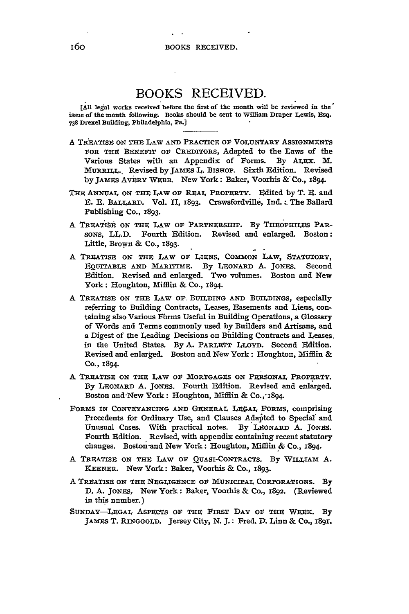## BOOKS RECEIVED.

**[All** legal works received before the first of *the* month will **be** reviewed in the' **issue** of the month following. Books should **be** sent to William Draper Lewis, Esq. **738** Drexel Building, Philadelphia, Pa.]

- A TREATISE ON THE LAW AND PRACTICE OF VOLUNTARY ASSIGNMENTS FOR THE BENEFIT **OF** CREDITORS, Adapted to the Laws of the Various States with an Appendix of Forms. By ALEX. M. MURRILL.. Revised byJAMFS *L.* **BISHOP.** Sixth Edition. Revised by JAMES AvERY WEBB. New York: Baker, Voorhis &'Co., 1894.
- THE ANNUAL ON THE LAW OF REAL PROPERTY. Fdited **by** T. **E.** and E. E. BALLARD. Vol. II, 1893. Crawsfordville, Ind.: The Ballard Publishing Co., 1893.
- A TREATISE ON THE LAW OF PARTNERSHIP. By THEOPHILUS PAR-SONS, LL.D. Fourth Edition. Revised and enlarged. Boston: Little, Brown & Co., 1893.
- A **TREATISE** ON THE LAW OF LIENS, **COMMON** LAW, STATUTORY, EQUITABLE **AND** MARITIME. **By** LEONARD A. JONES. Second Edition. Revised and enlarged. Two volumes. Boston and New York: Houghton, Mifflin & Co., 1894.
- A TREATISE **ON** THE LAW **OF.** BUILDING **AND** BUILDINGS, especially referring to Building Contracts, Leases, Easements and Liens, containing also Various Forms Useful in Building Operations, a Glossary of Words and Terms commonly used **by** Builders and Artisans, and a Digest of the Leading Decisions on Building Contracts and Leases. in the United States. **By A.** PARLETT LLOYD. Second Edition. Revised and enlarged. Boston and New York: Houghton, Mifflin & **Co.,** 1894.
- A TREATISE **ON** THE LAW OF MORTGAGES ON PERSONAL PROPERTY. **By** LEONARD **A.** JONES. Fourth Edition. Revised and enlarged. Boston and-New York: Houghton, Mifflin **&** Co.,-I894.
- FORMS IN CONVEYANCING AND GENERAL LEGAL FORMS, comprising Precedents for Ordinary Use, and Clauses Adapted to Special and Unusual Cases. With practical notes. **By** LEONARD **A. JONES.** Fourth Edition. Revised, with appendix containing recent statutory changes. Boston-and New York: Houghton, Miffin **&** Co., 1894.
- **A** TREATISE **ON** THE LAW **OF** QUASI-CONTRACTS. **By** WILLIAM A. KEENER. New York: Baker, Voorhis **&** Co., 1893.
- A TREATISE ON THE NEGLIGENCE OF MUNICIPAL CORPORATIONS. **By D.** A. JONES. New York: Baker, Voorhis & Co., 1892. (Reviewed in this nnmber.)
- **SUNDAY-LEGAL** ASPECTS OF THE FIRST DAY OF THE WEEK. **By** JAMES T. RINGGOLD. Jersey City, N. **J.:** Fred. **D.** Linn **&** Co., I891.